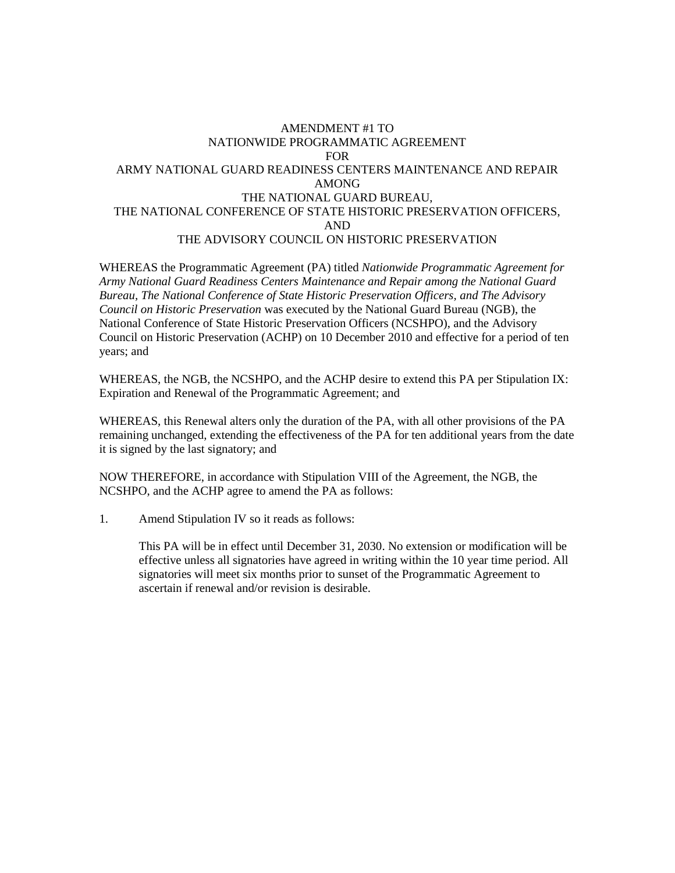## AMENDMENT #1 TO NATIONWIDE PROGRAMMATIC AGREEMENT FOR ARMY NATIONAL GUARD READINESS CENTERS MAINTENANCE AND REPAIR AMONG THE NATIONAL GUARD BUREAU, THE NATIONAL CONFERENCE OF STATE HISTORIC PRESERVATION OFFICERS, AND THE ADVISORY COUNCIL ON HISTORIC PRESERVATION

WHEREAS the Programmatic Agreement (PA) titled *Nationwide Programmatic Agreement for Army National Guard Readiness Centers Maintenance and Repair among the National Guard Bureau, The National Conference of State Historic Preservation Officers, and The Advisory Council on Historic Preservation* was executed by the National Guard Bureau (NGB), the National Conference of State Historic Preservation Officers (NCSHPO), and the Advisory Council on Historic Preservation (ACHP) on 10 December 2010 and effective for a period of ten years; and

WHEREAS, the NGB, the NCSHPO, and the ACHP desire to extend this PA per Stipulation IX: Expiration and Renewal of the Programmatic Agreement; and

WHEREAS, this Renewal alters only the duration of the PA, with all other provisions of the PA remaining unchanged, extending the effectiveness of the PA for ten additional years from the date it is signed by the last signatory; and

NOW THEREFORE, in accordance with Stipulation VIII of the Agreement, the NGB, the NCSHPO, and the ACHP agree to amend the PA as follows:

1. Amend Stipulation IV so it reads as follows:

This PA will be in effect until December 31, 2030. No extension or modification will be effective unless all signatories have agreed in writing within the 10 year time period. All signatories will meet six months prior to sunset of the Programmatic Agreement to ascertain if renewal and/or revision is desirable.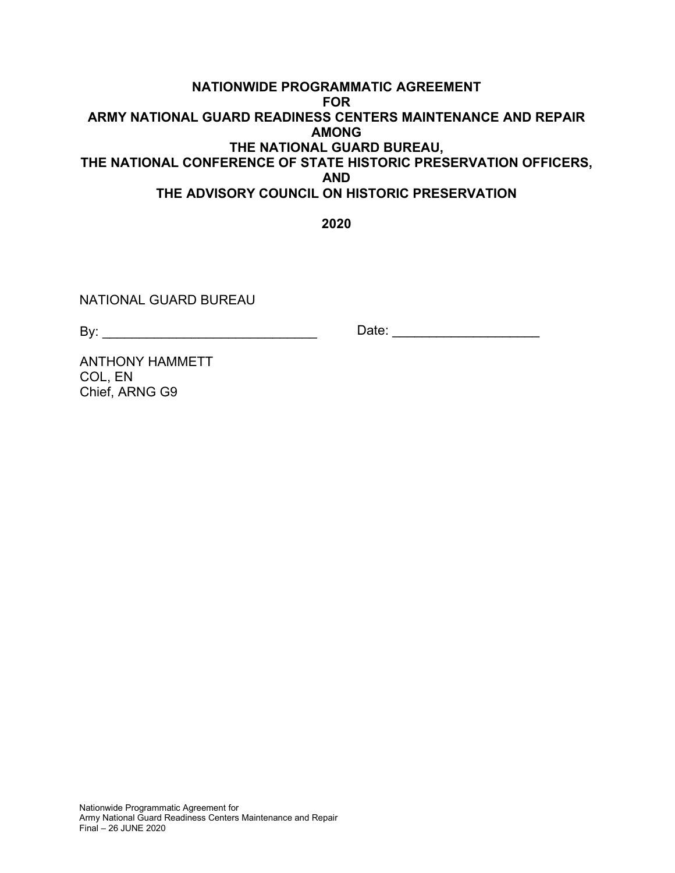## **NATIONWIDE PROGRAMMATIC AGREEMENT FOR ARMY NATIONAL GUARD READINESS CENTERS MAINTENANCE AND REPAIR AMONG THE NATIONAL GUARD BUREAU, THE NATIONAL CONFERENCE OF STATE HISTORIC PRESERVATION OFFICERS, AND THE ADVISORY COUNCIL ON HISTORIC PRESERVATION**

**2020** 

NATIONAL GUARD BUREAU

By: \_\_\_\_\_\_\_\_\_\_\_\_\_\_\_\_\_\_\_\_\_\_\_\_\_\_\_\_\_ Date: \_\_\_\_\_\_\_\_\_\_\_\_\_\_\_\_\_\_\_\_

ANTHONY HAMMETT COL, EN Chief, ARNG G9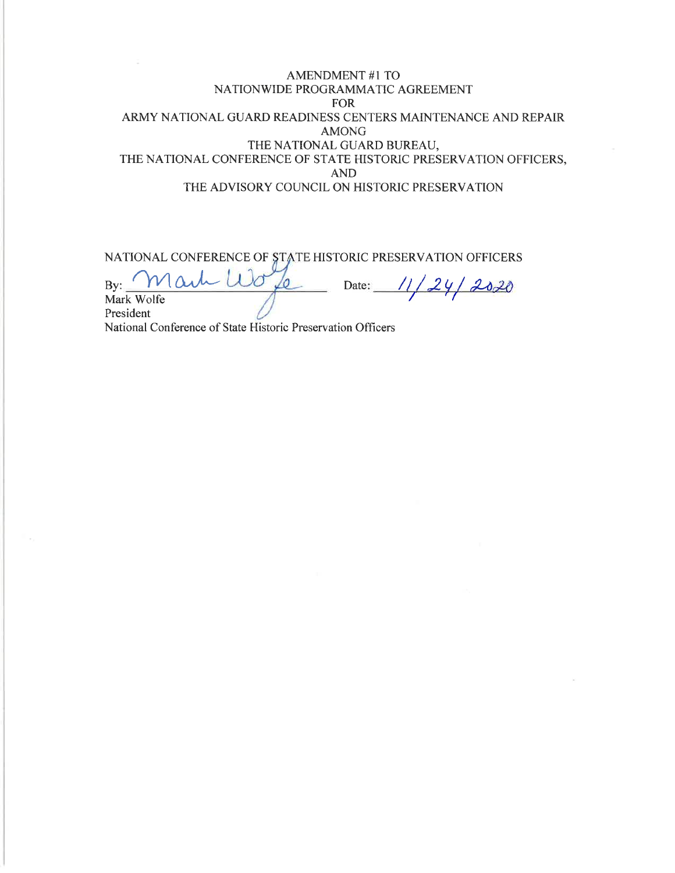## **AMENDMENT #1 TO** NATIONWIDE PROGRAMMATIC AGREEMENT **FOR** ARMY NATIONAL GUARD READINESS CENTERS MAINTENANCE AND REPAIR **AMONG** THE NATIONAL GUARD BUREAU, THE NATIONAL CONFERENCE OF STATE HISTORIC PRESERVATION OFFICERS, **AND** THE ADVISORY COUNCIL ON HISTORIC PRESERVATION

NATIONAL CONFERENCE OF STATE HISTORIC PRESERVATION OFFICERS

/o  $24/2020$  $Bv$ : Date: Mark Wolfe President

National Conference of State Historic Preservation Officers